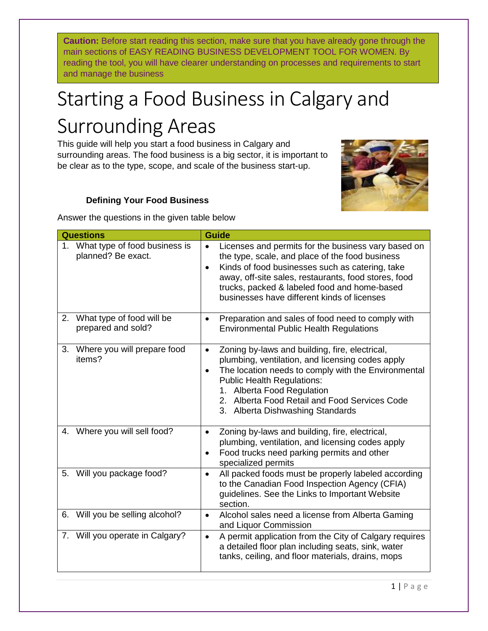**Caution:** Before start reading this section, make sure that you have already gone through the main sections of EASY READING BUSINESS DEVELOPMENT TOOL FOR WOMEN. By reading the tool, you will have clearer understanding on processes and requirements to start and manage the business

# Starting a Food Business in Calgary and Surrounding Areas

This guide will help you start a food business in Calgary and surrounding areas. The food business is a big sector, it is important to be clear as to the type, scope, and scale of the business start-up.



## **Defining Your Food Business**

Answer the questions in the given table below

| <b>Questions</b>                                       | <b>Guide</b>                                                                                                                                                                                                                                                                                                                                |
|--------------------------------------------------------|---------------------------------------------------------------------------------------------------------------------------------------------------------------------------------------------------------------------------------------------------------------------------------------------------------------------------------------------|
| 1. What type of food business is<br>planned? Be exact. | Licenses and permits for the business vary based on<br>$\bullet$<br>the type, scale, and place of the food business<br>Kinds of food businesses such as catering, take<br>$\bullet$<br>away, off-site sales, restaurants, food stores, food<br>trucks, packed & labeled food and home-based<br>businesses have different kinds of licenses  |
| What type of food will be<br>2.<br>prepared and sold?  | Preparation and sales of food need to comply with<br>$\bullet$<br><b>Environmental Public Health Regulations</b>                                                                                                                                                                                                                            |
| 3. Where you will prepare food<br>items?               | Zoning by-laws and building, fire, electrical,<br>$\bullet$<br>plumbing, ventilation, and licensing codes apply<br>The location needs to comply with the Environmental<br>$\bullet$<br><b>Public Health Regulations:</b><br>1. Alberta Food Regulation<br>2. Alberta Food Retail and Food Services Code<br>3. Alberta Dishwashing Standards |
| Where you will sell food?<br>4.                        | Zoning by-laws and building, fire, electrical,<br>$\bullet$<br>plumbing, ventilation, and licensing codes apply<br>Food trucks need parking permits and other<br>$\bullet$<br>specialized permits                                                                                                                                           |
| Will you package food?<br>5.                           | All packed foods must be properly labeled according<br>$\bullet$<br>to the Canadian Food Inspection Agency (CFIA)<br>guidelines. See the Links to Important Website<br>section.                                                                                                                                                             |
| Will you be selling alcohol?<br>6.                     | Alcohol sales need a license from Alberta Gaming<br>$\bullet$<br>and Liquor Commission                                                                                                                                                                                                                                                      |
| 7. Will you operate in Calgary?                        | A permit application from the City of Calgary requires<br>$\bullet$<br>a detailed floor plan including seats, sink, water<br>tanks, ceiling, and floor materials, drains, mops                                                                                                                                                              |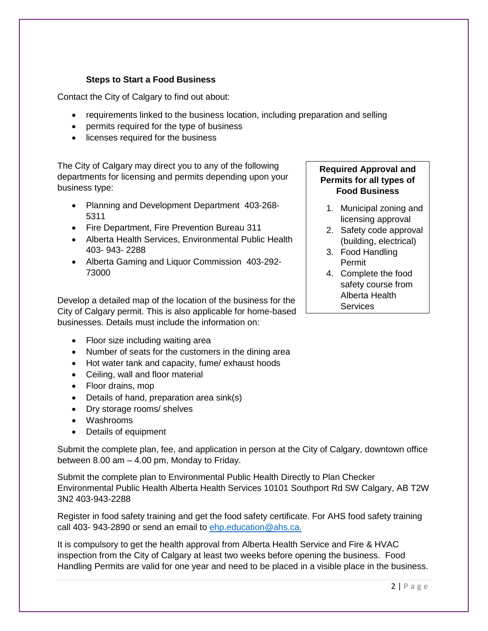### **Steps to Start a Food Business**

Contact the City of Calgary to find out about:

- requirements linked to the business location, including preparation and selling
- permits required for the type of business
- licenses required for the business

The City of Calgary may direct you to any of the following departments for licensing and permits depending upon your business type:

- Planning and Development Department 403-268-5311
- Fire Department, Fire Prevention Bureau 311
- Alberta Health Services, Environmental Public Health 403- 943- 2288
- Alberta Gaming and Liquor Commission 403-292- 73000

Develop a detailed map of the location of the business for the City of Calgary permit. This is also applicable for home-based businesses. Details must include the information on:

- Floor size including waiting area
- Number of seats for the customers in the dining area
- Hot water tank and capacity, fume/ exhaust hoods
- Ceiling, wall and floor material
- Floor drains, mop
- Details of hand, preparation area sink(s)
- Dry storage rooms/ shelves
- Washrooms
- Details of equipment

Submit the complete plan, fee, and application in person at the City of Calgary, downtown office between 8.00 am – 4.00 pm, Monday to Friday.

Submit the complete plan to Environmental Public Health Directly to Plan Checker Environmental Public Health Alberta Health Services 10101 Southport Rd SW Calgary, AB T2W 3N2 403-943-2288

Register in food safety training and get the food safety certificate. For AHS food safety training call 403- 943-2890 or send an email to ehp.education@ahs.ca.

It is compulsory to get the health approval from Alberta Health Service and Fire & HVAC inspection from the City of Calgary at least two weeks before opening the business. Food Handling Permits are valid for one year and need to be placed in a visible place in the business.

## **Required Approval and Permits for all types of Food Business**

- 1. Municipal zoning and licensing approval
- 2. Safety code approval (building, electrical)
- 3. Food Handling Permit
- 4. Complete the food safety course from Alberta Health **Services**